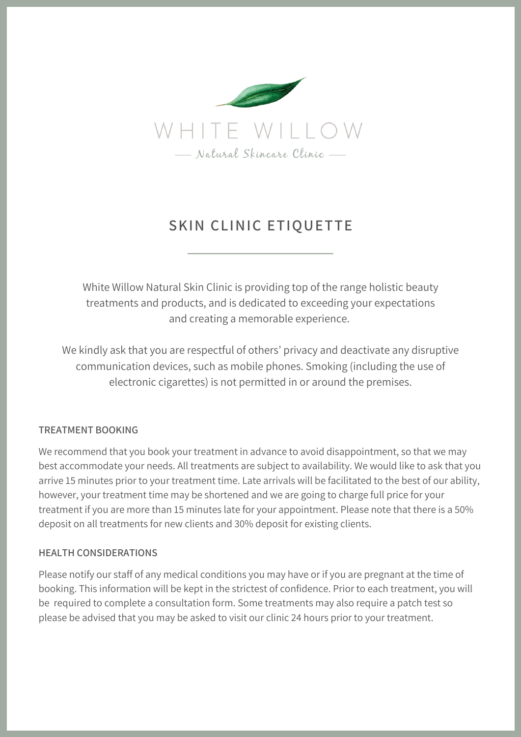

# **SKIN CLINIC ETIQUETTE**

White Willow Natural Skin Clinic is providing top of the range holistic beauty treatments and products, and is dedicated to exceeding your expectations and creating a memorable experience.

We kindly ask that you are respectful of others' privacy and deactivate any disruptive communication devices, such as mobile phones. Smoking (including the use of electronic cigarettes) is not permitted in or around the premises.

# **TREATMENT BOOKING**

We recommend that you book your treatment in advance to avoid disappointment, so that we may best accommodate your needs. All treatments are subject to availability. We would like to ask that you arrive 15 minutes prior to your treatment time. Late arrivals will be facilitated to the best of our ability, however, your treatment time may be shortened and we are going to charge full price for your treatment if you are more than 15 minutes late for your appointment. Please note that there is a 50% deposit on all treatments for new clients and 30% deposit for existing clients.

# **HEALTH CONSIDERATIONS**

Please notify our staff of any medical conditions you may have or if you are pregnant at the time of booking. This information will be kept in the strictest of confidence. Prior to each treatment, you will be required to complete a consultation form. Some treatments may also require a patch test so please be advised that you may be asked to visit our clinic 24 hours prior to your treatment.